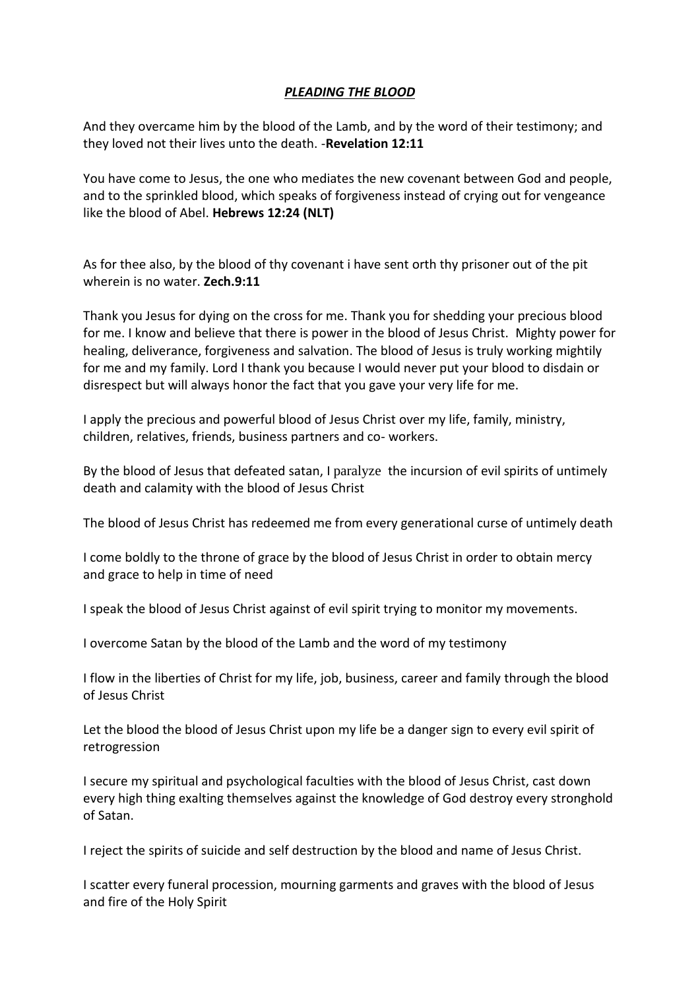## *PLEADING THE BLOOD*

And they overcame him by the blood of the Lamb, and by the word of their testimony; and they loved not their lives unto the death. -**Revelation 12:11**

You have come to Jesus, the one who mediates the new covenant between God and people, and to the sprinkled blood, which speaks of forgiveness instead of crying out for vengeance like the blood of Abel. **Hebrews 12:24 (NLT)**

As for thee also, by the blood of thy covenant i have sent orth thy prisoner out of the pit wherein is no water. **Zech.9:11**

Thank you Jesus for dying on the cross for me. Thank you for shedding your precious blood for me. I know and believe that there is power in the blood of Jesus Christ. Mighty power for healing, deliverance, forgiveness and salvation. The blood of Jesus is truly working mightily for me and my family. Lord I thank you because I would never put your blood to disdain or disrespect but will always honor the fact that you gave your very life for me.

I apply the precious and powerful blood of Jesus Christ over my life, family, ministry, children, relatives, friends, business partners and co- workers.

By the blood of Jesus that defeated satan, I paralyze the incursion of evil spirits of untimely death and calamity with the blood of Jesus Christ

The blood of Jesus Christ has redeemed me from every generational curse of untimely death

I come boldly to the throne of grace by the blood of Jesus Christ in order to obtain mercy and grace to help in time of need

I speak the blood of Jesus Christ against of evil spirit trying to monitor my movements.

I overcome Satan by the blood of the Lamb and the word of my testimony

I flow in the liberties of Christ for my life, job, business, career and family through the blood of Jesus Christ

Let the blood the blood of Jesus Christ upon my life be a danger sign to every evil spirit of retrogression

I secure my spiritual and psychological faculties with the blood of Jesus Christ, cast down every high thing exalting themselves against the knowledge of God destroy every stronghold of Satan.

I reject the spirits of suicide and self destruction by the blood and name of Jesus Christ.

I scatter every funeral procession, mourning garments and graves with the blood of Jesus and fire of the Holy Spirit